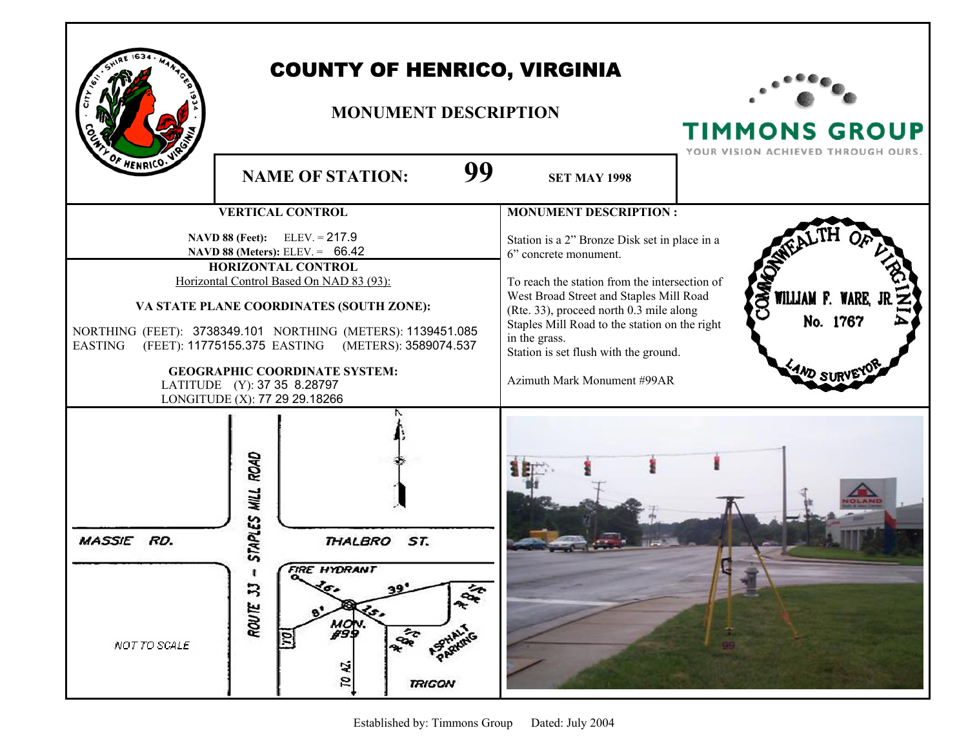